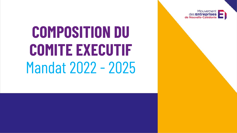Mouvement des Entreprises<br>de Nouvelle-Calédonie

## **COMPOSITION DU COMITE EXECUTIF**  Mandat 2022 - 2025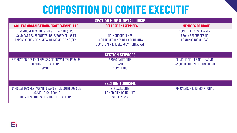## **COMPOSITION DU COMITE EXECUTIF**

| <b>SECTION MINE &amp; METALLURGIE</b>                                                                                                 |                                                                                            |                                                                      |  |
|---------------------------------------------------------------------------------------------------------------------------------------|--------------------------------------------------------------------------------------------|----------------------------------------------------------------------|--|
| <b>COLLEGE ORGANISATIONS PROFESSIONNELLES</b>                                                                                         | <b>COLLEGE ENTREPRISES</b>                                                                 | <b>MEMBRES DE DROIT</b>                                              |  |
| SYNDICAT DES INDUSTRIES DE LA MINE (SIM)<br>SYNDICAT DES PRODUCTEURS-EXPORTATEURS ET<br>EXPORTATEURS DE MINERAI DE NICKEL DE NC (SEM) | MAI KOUAOUA MINES<br>SOCIETE DES MINES DE LA TONTOUTA<br>SOCIETE MINIERE GEORGES MONTAGNAT | SOCIETE LE NICKEL - SLN<br>PRONY RESOURCES NC<br>KONIAMBO NICKEL SAS |  |
| <b>SECTION SERVICES</b>                                                                                                               |                                                                                            |                                                                      |  |
| FEDERATION DES ENTREPRISES DE TRAVAIL TEMPORAIRE<br>EN NOUVELLE-CALEDONIE<br><b>SPADET</b>                                            | ABORO CALEDONIE<br><b>CAN'L</b><br><b>SOCATRANS</b>                                        | CLINIQUE DE L'ILE NOU-MAGNIN<br>BANQUE DE NOUVELLE-CALEDONIE         |  |
| <b>SECTION TOURISME</b>                                                                                                               |                                                                                            |                                                                      |  |
| SYNDICAT DES RESTAURANTS BARS ET DISCOTHEQUES DE<br>NOUVELLE-CALEDONIE<br>UNION DES HÔTELS DE NOUVELLE-CALEDONIE                      | <b>AIR CALEDONIE</b><br>LE MERIDIEN DE NOUMEA<br>SUDILES SAS                               | AIR CALEDONIE INTERNATIONAL                                          |  |